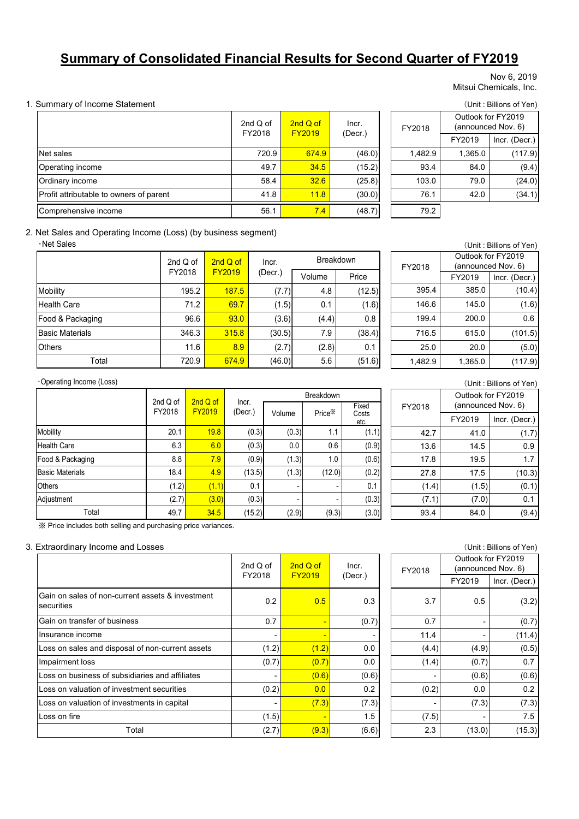# **Summary of Consolidated Financial Results for Second Quarter of FY2019**

#### Nov 6, 2019 Mitsui Chemicals, Inc.

#### 1. Summary of Income Statement (Unit : Billions of Yen)

|                                         | 2nd $Q$ of<br>FY2018 | 2nd Q of<br><b>FY2019</b> | Incr.<br>(Decr.) | FY2018  |
|-----------------------------------------|----------------------|---------------------------|------------------|---------|
| Net sales                               | 720.9                | 674.9                     | (46.0)           | 1,482.9 |
| Operating income                        | 49.7                 | 34.5                      | (15.2)           | 93.4    |
| Ordinary income                         | 58.4                 | 32.6                      | (25.8)           | 103.0   |
| Profit attributable to owners of parent | 41.8                 | 11.8                      | (30.0)           | 76.1    |
| Comprehensive income                    | 56.1                 | 7.4                       | (48.7)           | 79.2    |

FY2019 Incr. (Decr.) 720.9 674.9 (46.0) 1,482.9 1,365.0 (117.9) 49.7 <mark>34.5</mark> (15.2) 93.4 84.0 (9.4) 58.4 <mark>32.6</mark> (25.8) 103.0 79.0 (24.0) 41.8 <mark>11.8</mark> (30.0) 76.1 42.0 (34.1) FY2018 Outlook for FY2019 (announced Nov. 6)

#### 2. Net Sales and Operating Income (Loss) (by business segment)

・Net Sales

|                        | 2nd $Q$ of | $2ndQ$ of     | Incr.   | <b>Breakdown</b> |        |  |  |
|------------------------|------------|---------------|---------|------------------|--------|--|--|
|                        | FY2018     | <b>FY2019</b> | (Decr.) | Volume           | Price  |  |  |
| Mobility               | 195.2      | 187.5         | (7.7)   | 4.8              | (12.5) |  |  |
| <b>Health Care</b>     | 71.2       | 69.7          | (1.5)   | 0.1              | (1.6)  |  |  |
| Food & Packaging       | 96.6       | 93.0          | (3.6)   | (4.4)            | 0.8    |  |  |
| <b>Basic Materials</b> | 346.3      | 315.8         | (30.5)  | 7.9              | (38.4) |  |  |
| <b>Others</b>          | 11.6       | 8.9           | (2.7)   | (2.8)            | 0.1    |  |  |
| Total                  | 720.9      | 674.9         | (46.0)  | 5.6              | (51.6) |  |  |

| (Unit: Billions of Yen) |         |                    |  |  |  |  |  |
|-------------------------|---------|--------------------|--|--|--|--|--|
|                         |         | Outlook for FY2019 |  |  |  |  |  |
| FY2018                  |         | (announced Nov. 6) |  |  |  |  |  |
|                         | FY2019  | Incr. (Decr.)      |  |  |  |  |  |
| 395.4                   | 385.0   | (10.4)             |  |  |  |  |  |
| 146.6                   | 145.0   | (1.6)              |  |  |  |  |  |
| 199.4                   | 200.0   | 0.6                |  |  |  |  |  |
| 716.5                   | 615.0   | (101.5)            |  |  |  |  |  |
| 25.0                    | 20.0    | (5.0)              |  |  |  |  |  |
| 1,482.9                 | 1,365.0 | (117.9)            |  |  |  |  |  |

#### ・Operating Income (Loss)

|                        | 2nd Q of                | 2nd Q of | Incr.   |        | <b>Breakdown</b>   |                        |
|------------------------|-------------------------|----------|---------|--------|--------------------|------------------------|
|                        | FY2018<br><b>FY2019</b> |          | (Decr.) | Volume | Price <sup>*</sup> | Fixed<br>Costs<br>etc. |
| <b>Mobility</b>        | 20.1                    | 19.8     | (0.3)   | (0.3)  | 1.1                | (1.1)                  |
| <b>Health Care</b>     | 6.3                     | 6.0      | (0.3)   | 0.0    | 0.6                | (0.9)                  |
| Food & Packaging       | 8.8                     | 7.9      | (0.9)   | (1.3)  | 1.0                | (0.6)                  |
| <b>Basic Materials</b> | 18.4                    | 4.9      | (13.5)  | (1.3)  | (12.0)             | (0.2)                  |
| <b>Others</b>          | (1.2)                   | (1.1)    | 0.1     |        |                    | 0.1                    |
| Adjustment             | (2.7)                   | (3.0)    | (0.3)   |        |                    | (0.3)                  |
| Total                  | 49.7                    | 34.5     | (15.2)  | (2.9)  | (9.3)              | (3.0)                  |

| X Price includes both selling and purchasing price variances. |  |  |
|---------------------------------------------------------------|--|--|
|                                                               |  |  |

#### 3. Extraordinary Income and Losses (Unit : Billions of Yen)

|                                                                | 2nd $Q$ of<br>FY2018 | $2ndQ$ of<br><b>FY2019</b> | Incr.<br>(Decr.) |
|----------------------------------------------------------------|----------------------|----------------------------|------------------|
| Gain on sales of non-current assets & investment<br>securities | 0.2                  | 0.5                        | 0.3              |
| Gain on transfer of business                                   | 0.7                  |                            | (0.7)            |
| Insurance income                                               |                      |                            |                  |
| Loss on sales and disposal of non-current assets               | (1.2)                | (1.2)                      | 0.0              |
| Impairment loss                                                | (0.7)                | (0.7)                      | 0.0              |
| Loss on business of subsidiaries and affiliates                |                      | (0.6)                      | (0.6)            |
| Loss on valuation of investment securities                     | (0.2)                | 0.0                        | 0.2              |
| Loss on valuation of investments in capital                    |                      | (7.3)                      | (7.3)            |
| Loss on fire                                                   | (1.5)                |                            | 1.5              |
| Total                                                          | (2.7)                | (9.3)                      | (6.6)            |

| FY2018 | Outlook for FY2019<br>(announced Nov. 6) |               |  |  |  |
|--------|------------------------------------------|---------------|--|--|--|
|        | FY2019                                   | Incr. (Decr.) |  |  |  |
| 42.7   | 41.0                                     | (1.7)         |  |  |  |
| 13.6   | 14.5                                     | 0.9           |  |  |  |
| 17.8   | 19.5                                     | 1.7           |  |  |  |
| 27.8   | 17.5                                     | (10.3)        |  |  |  |
| (1.4)  | (1.5)                                    | (0.1)         |  |  |  |
| (7.1)  | (7.0)                                    | 0.1           |  |  |  |
| 93.4   | 84.0                                     | (9.4          |  |  |  |

(Unit : Billions of Yen)

| (UNIT: Billions of Yen) |                   |         |        |        |                                          |  |  |  |  |  |
|-------------------------|-------------------|---------|--------|--------|------------------------------------------|--|--|--|--|--|
| of<br>18                | 2nd Q of<br>Incr. |         | FY2018 |        | Outlook for FY2019<br>(announced Nov. 6) |  |  |  |  |  |
|                         | <b>FY2019</b>     | (Decr.) |        | FY2019 | Incr. (Decr.)                            |  |  |  |  |  |
| 0.2                     | 0.5               | 0.3     | 3.7    | 0.5    | (3.2)                                    |  |  |  |  |  |
| 0.7                     | ٠                 | (0.7)   | 0.7    | ٠      | (0.7)                                    |  |  |  |  |  |
| -                       | ٠                 |         | 11.4   |        | (11.4)                                   |  |  |  |  |  |
| (1.2)                   | (1.2)             | 0.0     | (4.4)  | (4.9)  | (0.5)                                    |  |  |  |  |  |
| (0.7)                   | (0.7)             | 0.0     | (1.4)  | (0.7)  | 0.7                                      |  |  |  |  |  |
| -                       | (0.6)             | (0.6)   | ٠      | (0.6)  | (0.6)                                    |  |  |  |  |  |
| (0.2)                   | 0.0               | 0.2     | (0.2)  | 0.0    | 0.2                                      |  |  |  |  |  |
| -                       | (7.3)             | (7.3)   |        | (7.3)  | (7.3)                                    |  |  |  |  |  |
| (1.5)                   | ٠                 | 1.5     | (7.5)  | ۰      | 7.5                                      |  |  |  |  |  |
| (2.7)                   | (9.3)             | (6.6)   | 2.3    | (13.0) | (15.3)                                   |  |  |  |  |  |
|                         |                   |         |        |        |                                          |  |  |  |  |  |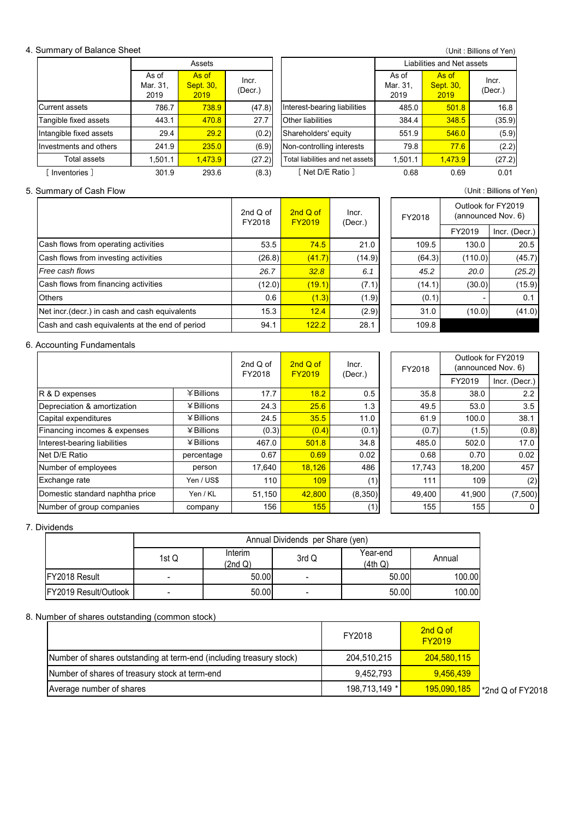#### 4. Summary of Balance Sheet

(Unit : Billions of Yen)

|                         | Assets                    |                                   |                  |                                  | Liabilities and Net assets |                                   |                  |  |  |
|-------------------------|---------------------------|-----------------------------------|------------------|----------------------------------|----------------------------|-----------------------------------|------------------|--|--|
|                         | As of<br>Mar. 31,<br>2019 | As of<br><b>Sept. 30,</b><br>2019 | Incr.<br>(Decr.) |                                  | As of<br>Mar. 31,<br>2019  | As of<br><b>Sept. 30,</b><br>2019 | Incr.<br>(Decr.) |  |  |
| Current assets          | 786.7                     | <b>738.9</b>                      | (47.8)           | Interest-bearing liabilities     | 485.0                      | 501.8                             | 16.8             |  |  |
| Tangible fixed assets   | 443.1                     | 470.8                             | 27.7             | Other liabilities                | 384.4                      | 348.5                             | (35.9)           |  |  |
| Intangible fixed assets | 29.4                      | 29.2                              | (0.2)            | Shareholders' equity             | 551.9                      | 546.0                             | (5.9)            |  |  |
| Investments and others  | 241.9                     | 235.0                             | (6.9)            | Non-controlling interests        | 79.8                       | 77.6                              | (2.2)            |  |  |
| Total assets            | 1,501.1                   | 1.473.9                           | (27.2)           | Total liabilities and net assets | 1,501.1                    | 1.473.9                           | (27.2)           |  |  |
| Inventories 1           | 301.9                     | 293.6                             | (8.3)            | 「Net D/E Ratio]                  | 0.68                       | 0.69                              | 0.01             |  |  |

# 5. Summary of Cash Flow (Unit : Billions of Yen)

|                                                | 2nd $Q$ of<br>FY2018 | 2nd Q of<br><b>FY2019</b> | Incr.<br>(Decr.) | FY2018 |
|------------------------------------------------|----------------------|---------------------------|------------------|--------|
| Cash flows from operating activities           | 53.5                 | 74.5                      | 21.0             | 109    |
| Cash flows from investing activities           | (26.8)               | (41.7)                    | (14.9)           | (64)   |
| Free cash flows                                | 26.7                 | 32.8                      | 6.1              | 45     |
| Cash flows from financing activities           | (12.0)               | (19.1)                    | (7.1)            | (14    |
| <b>Others</b>                                  | 0.6                  | (1.3)                     | (1.9)            | (0     |
| Net incr. (decr.) in cash and cash equivalents | 15.3                 | 12.4                      | (2.9)            | 31     |
| Cash and cash equivalents at the end of period | 94.1                 | 122.2                     | 28.1             | 109    |

| $\overline{O}$ $\overline{O}$ $\overline{O}$ $\overline{O}$ $\overline{O}$ $\overline{O}$ $\overline{O}$ $\overline{O}$ $\overline{O}$ $\overline{O}$ $\overline{O}$ |                                                |        |        |        |                                          |               |  |  |  |  |
|----------------------------------------------------------------------------------------------------------------------------------------------------------------------|------------------------------------------------|--------|--------|--------|------------------------------------------|---------------|--|--|--|--|
| d of<br>018                                                                                                                                                          | $2ndQ$ of<br>Incr.<br><b>FY2019</b><br>(Decr.) |        | FY2018 |        | Outlook for FY2019<br>(announced Nov. 6) |               |  |  |  |  |
|                                                                                                                                                                      |                                                |        |        |        | FY2019                                   | Incr. (Decr.) |  |  |  |  |
| 53.5                                                                                                                                                                 | 74.5                                           | 21.0   |        | 109.5  | 130.0                                    | 20.5          |  |  |  |  |
| (26.8)                                                                                                                                                               | (41.7)                                         | (14.9) |        | (64.3) | (110.0)                                  | (45.7)        |  |  |  |  |
| 26.7                                                                                                                                                                 | 32.8                                           | 6.1    |        | 45.2   | 20.0                                     | (25.2)        |  |  |  |  |
| (12.0)                                                                                                                                                               | (19.1)                                         | (7.1)  |        | (14.1) | (30.0)                                   | (15.9)        |  |  |  |  |
| 0.6                                                                                                                                                                  | (1.3)                                          | (1.9)  |        | (0.1)  |                                          | 0.1           |  |  |  |  |
| 15.3                                                                                                                                                                 | 12.4                                           | (2.9)  |        | 31.0   | (10.0)                                   | (41.0)        |  |  |  |  |
| 94.1                                                                                                                                                                 | 122.2                                          | 28.1   |        | 109.8  |                                          |               |  |  |  |  |

#### 6. Accounting Fundamentals

|                                 |                   |        | $2nd$ Q of<br>2nd $Q$ of<br>FY2018 |         | Incr.<br><b>FY2019</b> |        | FY2018        |  | Outlook for FY2019<br>(announced Nov. 6) |
|---------------------------------|-------------------|--------|------------------------------------|---------|------------------------|--------|---------------|--|------------------------------------------|
|                                 |                   |        |                                    | (Decr.) |                        | FY2019 | Incr. (Decr.) |  |                                          |
| R & D expenses                  | $¥$ Billions      | 17.7   | 18.2                               | 0.5     | 35.8                   | 38.0   | 2.2           |  |                                          |
| Depreciation & amortization     | $\angle$ Billions | 24.3   | 25.6                               | 1.3     | 49.5                   | 53.0   | 3.5           |  |                                          |
| Capital expenditures            | $4$ Billions      | 24.5   | 35.5                               | 11.0    | 61.9                   | 100.0  | 38.1          |  |                                          |
| Financing incomes & expenses    | $\angle$ Billions | (0.3)  | (0.4)                              | (0.1)   | (0.7)                  | (1.5)  | (0.8)         |  |                                          |
| Interest-bearing liabilities    | $4$ Billions      | 467.0  | 501.8                              | 34.8    | 485.0                  | 502.0  | 17.0          |  |                                          |
| Net D/E Ratio                   | percentage        | 0.67   | 0.69                               | 0.02    | 0.68                   | 0.70   | 0.02          |  |                                          |
| Number of employees             | person            | 17.640 | 18.126                             | 486     | 17.743                 | 18.200 | 457           |  |                                          |
| Exchange rate                   | Yen / US\$        | 110    | 109                                | (1)     | 111                    | 109    | (2)           |  |                                          |
| Domestic standard naphtha price | Yen / KL          | 51,150 | 42,800                             | (8,350) | 49,400                 | 41,900 | (7,500)       |  |                                          |
| Number of group companies       | company           | 156    | 155                                | (1)     | 155                    | 155    | 0             |  |                                          |

7. Dividends

|                               | Annual Dividends per Share (yen) |                    |       |                     |        |  |
|-------------------------------|----------------------------------|--------------------|-------|---------------------|--------|--|
|                               | 1st Q                            | Interim<br>(2nd Q) | 3rd Q | Year-end<br>(4th Q) | Annual |  |
| <b>IFY2018 Result</b>         |                                  | 50.00              | -     | 50.00               | 100.00 |  |
| <b>IFY2019 Result/Outlook</b> | $\overline{\phantom{a}}$         | 50.00              |       | 50.00               | 100.00 |  |

#### 8. Number of shares outstanding (common stock)

|                                                                     | FY2018        | 2nd Q of<br><b>FY2019</b> |
|---------------------------------------------------------------------|---------------|---------------------------|
| Number of shares outstanding at term-end (including treasury stock) | 204,510,215   | 204,580,115               |
| Number of shares of treasury stock at term-end                      | 9.452,793     | 9,456,439                 |
| Average number of shares                                            | 198,713,149 * | 195,090,185               |

\*2nd Q of FY2018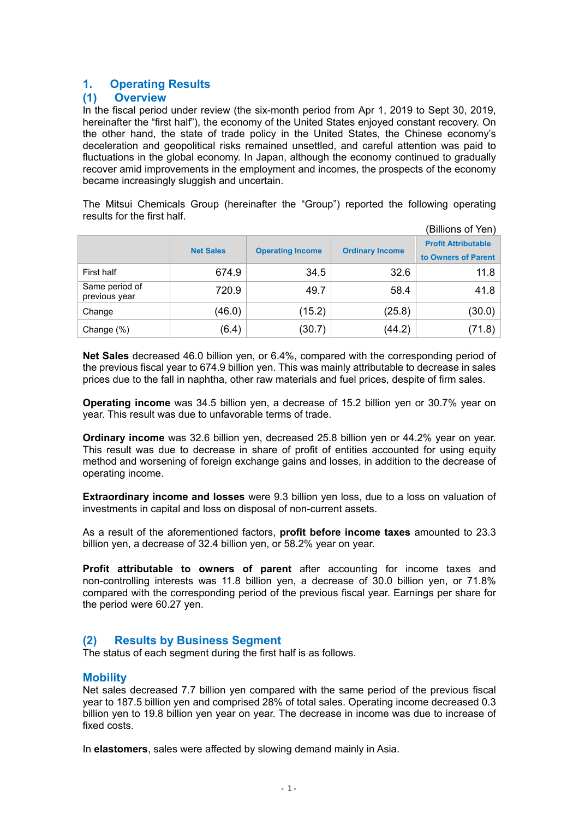# **1. Operating Results**

## **(1) Overview**

In the fiscal period under review (the six-month period from Apr 1, 2019 to Sept 30, 2019, hereinafter the "first half"), the economy of the United States enjoyed constant recovery. On the other hand, the state of trade policy in the United States, the Chinese economy's deceleration and geopolitical risks remained unsettled, and careful attention was paid to fluctuations in the global economy. In Japan, although the economy continued to gradually recover amid improvements in the employment and incomes, the prospects of the economy became increasingly sluggish and uncertain.

The Mitsui Chemicals Group (hereinafter the "Group") reported the following operating results for the first half.

|                                 |                  |                         |                        | (Billions of Yen)                                 |
|---------------------------------|------------------|-------------------------|------------------------|---------------------------------------------------|
|                                 | <b>Net Sales</b> | <b>Operating Income</b> | <b>Ordinary Income</b> | <b>Profit Attributable</b><br>to Owners of Parent |
| First half                      | 674.9            | 34.5                    | 32.6                   | 11.8                                              |
| Same period of<br>previous year | 720.9            | 49.7                    | 58.4                   | 41.8                                              |
| Change                          | (46.0)           | (15.2)                  | (25.8)                 | (30.0)                                            |
| Change (%)                      | (6.4)            | (30.7)                  | (44.2)                 | (71.8)                                            |

**Net Sales** decreased 46.0 billion yen, or 6.4%, compared with the corresponding period of the previous fiscal year to 674.9 billion yen. This was mainly attributable to decrease in sales prices due to the fall in naphtha, other raw materials and fuel prices, despite of firm sales.

**Operating income** was 34.5 billion yen, a decrease of 15.2 billion yen or 30.7% year on year. This result was due to unfavorable terms of trade.

**Ordinary income** was 32.6 billion yen, decreased 25.8 billion yen or 44.2% year on year. This result was due to decrease in share of profit of entities accounted for using equity method and worsening of foreign exchange gains and losses, in addition to the decrease of operating income.

**Extraordinary income and losses** were 9.3 billion yen loss, due to a loss on valuation of investments in capital and loss on disposal of non-current assets.

As a result of the aforementioned factors, **profit before income taxes** amounted to 23.3 billion yen, a decrease of 32.4 billion yen, or 58.2% year on year.

**Profit attributable to owners of parent** after accounting for income taxes and non-controlling interests was 11.8 billion yen, a decrease of 30.0 billion yen, or 71.8% compared with the corresponding period of the previous fiscal year. Earnings per share for the period were 60.27 yen.

# **(2) Results by Business Segment**

The status of each segment during the first half is as follows.

## **Mobility**

Net sales decreased 7.7 billion yen compared with the same period of the previous fiscal year to 187.5 billion yen and comprised 28% of total sales. Operating income decreased 0.3 billion yen to 19.8 billion yen year on year. The decrease in income was due to increase of fixed costs.

In **elastomers**, sales were affected by slowing demand mainly in Asia.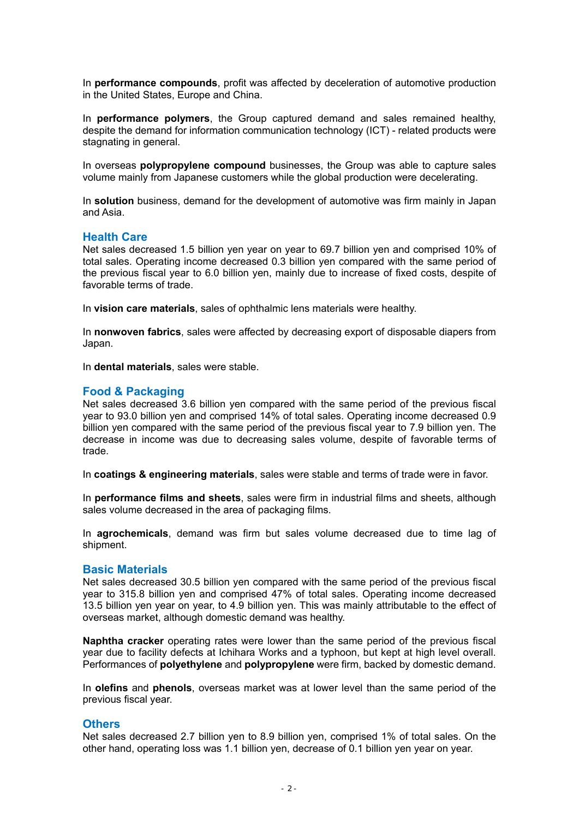In **performance compounds**, profit was affected by deceleration of automotive production in the United States, Europe and China.

In **performance polymers**, the Group captured demand and sales remained healthy, despite the demand for information communication technology (ICT) - related products were stagnating in general.

In overseas **polypropylene compound** businesses, the Group was able to capture sales volume mainly from Japanese customers while the global production were decelerating.

In **solution** business, demand for the development of automotive was firm mainly in Japan and Asia.

## **Health Care**

Net sales decreased 1.5 billion yen year on year to 69.7 billion yen and comprised 10% of total sales. Operating income decreased 0.3 billion yen compared with the same period of the previous fiscal year to 6.0 billion yen, mainly due to increase of fixed costs, despite of favorable terms of trade.

In **vision care materials**, sales of ophthalmic lens materials were healthy.

In **nonwoven fabrics**, sales were affected by decreasing export of disposable diapers from Japan.

In **dental materials**, sales were stable.

## **Food & Packaging**

Net sales decreased 3.6 billion yen compared with the same period of the previous fiscal year to 93.0 billion yen and comprised 14% of total sales. Operating income decreased 0.9 billion yen compared with the same period of the previous fiscal year to 7.9 billion yen. The decrease in income was due to decreasing sales volume, despite of favorable terms of trade.

In **coatings & engineering materials**, sales were stable and terms of trade were in favor.

In **performance films and sheets**, sales were firm in industrial films and sheets, although sales volume decreased in the area of packaging films.

In **agrochemicals**, demand was firm but sales volume decreased due to time lag of shipment.

## **Basic Materials**

Net sales decreased 30.5 billion yen compared with the same period of the previous fiscal year to 315.8 billion yen and comprised 47% of total sales. Operating income decreased 13.5 billion yen year on year, to 4.9 billion yen. This was mainly attributable to the effect of overseas market, although domestic demand was healthy.

**Naphtha cracker** operating rates were lower than the same period of the previous fiscal year due to facility defects at Ichihara Works and a typhoon, but kept at high level overall. Performances of **polyethylene** and **polypropylene** were firm, backed by domestic demand.

In **olefins** and **phenols**, overseas market was at lower level than the same period of the previous fiscal year.

## **Others**

Net sales decreased 2.7 billion yen to 8.9 billion yen, comprised 1% of total sales. On the other hand, operating loss was 1.1 billion yen, decrease of 0.1 billion yen year on year.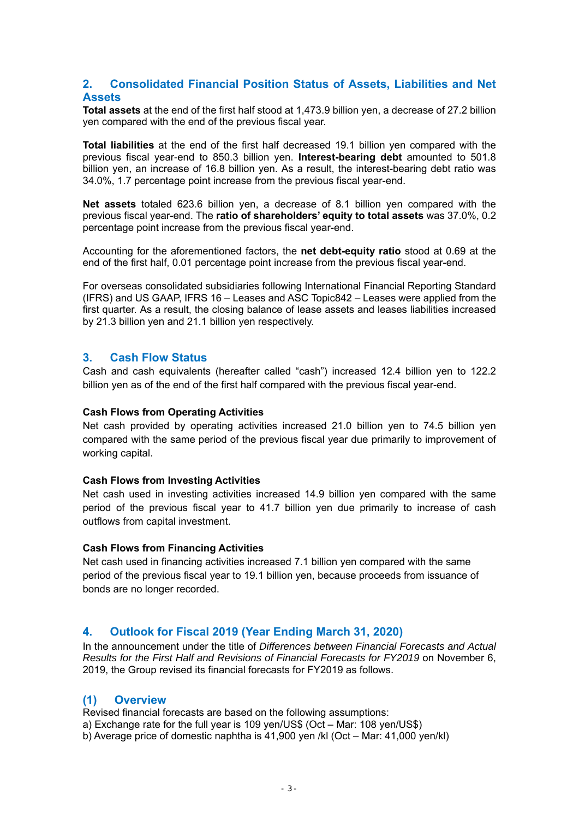## **2. Consolidated Financial Position Status of Assets, Liabilities and Net Assets**

**Total assets** at the end of the first half stood at 1,473.9 billion yen, a decrease of 27.2 billion yen compared with the end of the previous fiscal year.

**Total liabilities** at the end of the first half decreased 19.1 billion yen compared with the previous fiscal year-end to 850.3 billion yen. **Interest-bearing debt** amounted to 501.8 billion yen, an increase of 16.8 billion yen. As a result, the interest-bearing debt ratio was 34.0%, 1.7 percentage point increase from the previous fiscal year-end.

**Net assets** totaled 623.6 billion yen, a decrease of 8.1 billion yen compared with the previous fiscal year-end. The **ratio of shareholders' equity to total assets** was 37.0%, 0.2 percentage point increase from the previous fiscal year-end.

Accounting for the aforementioned factors, the **net debt-equity ratio** stood at 0.69 at the end of the first half, 0.01 percentage point increase from the previous fiscal year-end.

For overseas consolidated subsidiaries following International Financial Reporting Standard (IFRS) and US GAAP, IFRS 16 – Leases and ASC Topic842 – Leases were applied from the first quarter. As a result, the closing balance of lease assets and leases liabilities increased by 21.3 billion yen and 21.1 billion yen respectively.

## **3. Cash Flow Status**

Cash and cash equivalents (hereafter called "cash") increased 12.4 billion yen to 122.2 billion yen as of the end of the first half compared with the previous fiscal year-end.

#### **Cash Flows from Operating Activities**

Net cash provided by operating activities increased 21.0 billion yen to 74.5 billion yen compared with the same period of the previous fiscal year due primarily to improvement of working capital.

#### **Cash Flows from Investing Activities**

Net cash used in investing activities increased 14.9 billion yen compared with the same period of the previous fiscal year to 41.7 billion yen due primarily to increase of cash outflows from capital investment.

## **Cash Flows from Financing Activities**

Net cash used in financing activities increased 7.1 billion yen compared with the same period of the previous fiscal year to 19.1 billion yen, because proceeds from issuance of bonds are no longer recorded.

## **4. Outlook for Fiscal 2019 (Year Ending March 31, 2020)**

In the announcement under the title of *Differences between Financial Forecasts and Actual Results for the First Half and Revisions of Financial Forecasts for FY2019* on November 6, 2019, the Group revised its financial forecasts for FY2019 as follows.

## **(1) Overview**

Revised financial forecasts are based on the following assumptions:

a) Exchange rate for the full year is 109 yen/US\$ (Oct – Mar: 108 yen/US\$)

b) Average price of domestic naphtha is 41,900 yen /kl (Oct – Mar: 41,000 yen/kl)